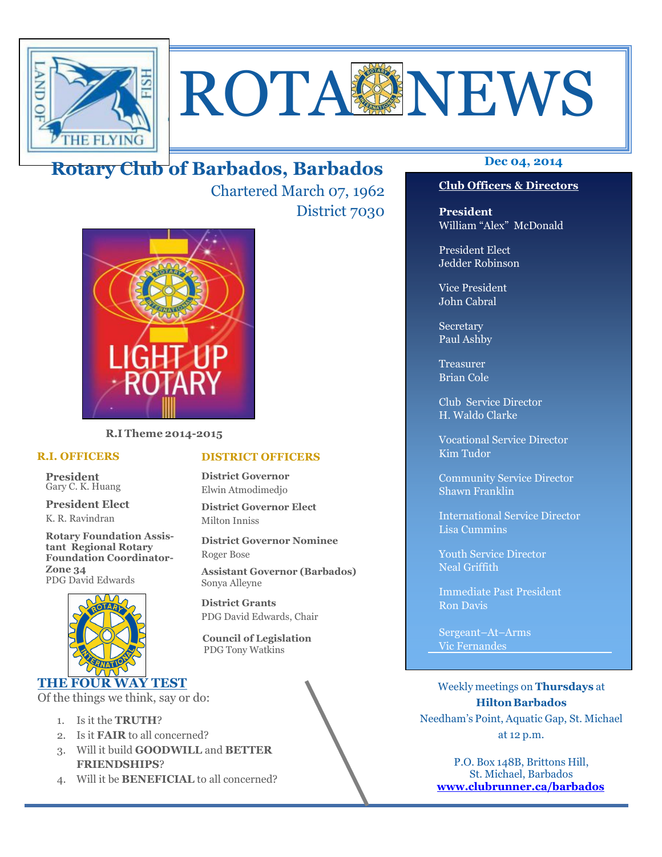

# ROTAGNEWS

## **Dec 04, 2014 Rotary Club of Barbados, Barbados**

Chartered March 07, 1962 District 7030



**R.I Theme 2014-2015** 

#### **R.I. OFFICERS**

**President** Gary C. K. Huang

**President Elect** K. R. Ravindran

**Rotary Foundation Assistant Regional Rotary Foundation Coordinator-Zone 34**  PDG David Edwards



#### **THE FOUR WAY TEST**

Of the things we think, say or do:

- 1. Is it the **TRUTH**?
- 2. Is it **FAIR** to all concerned?
- 3. Will it build **GOODWILL** and **BETTER FRIENDSHIPS**?
- 4. Will it be **BENEFICIAL** to all concerned?

#### **Club Officers & Directors**

**President** William "Alex" McDonald

President Elect Jedder Robinson

Vice President John Cabral

Secretary Paul Ashby

Treasurer Brian Cole

Club Service Director H. Waldo Clarke

Vocational Service Director Kim Tudor

Community Service Director Shawn Franklin

International Service Director Lisa Cummins

Youth Service Director Neal Griffith

Immediate Past President Ron Davis

Sergeant–At–Arms Vic Fernandes

Weekly meetings on **Thursdays** at **Hilton Barbados** Needham's Point, Aquatic Gap, St. Michael at 12 p.m.

P.O. Box 148B, Brittons Hill, St. Michael, Barbados **www.clubrunner.ca/barbados**

#### **DISTRICT OFFICERS**

**District Governor** Elwin Atmodimedjo

**District Governor Elect** Milton Inniss

**District Governor Nominee**  Roger Bose

**Assistant Governor (Barbados)** Sonya Alleyne

**District Grants**  PDG David Edwards, Chair

 **Council of Legislation**  PDG Tony Watkins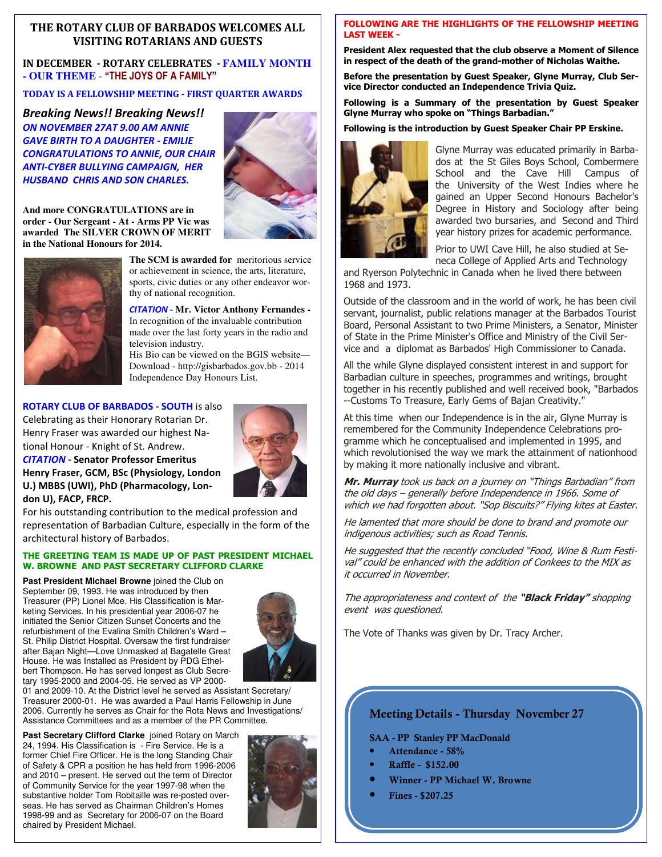#### **THE ROTARY CLUB OF BARBADOS WELCOMES ALL VISITING ROTARIANS AND GUESTS**

**IN DECEMBER - ROTARY CELEBRATES - FAMILY MONTH - OUR THEME** - **"THE JOYS OF A FAMILY"**

**TODAY IS A FELLOWSHIP MEETING - FIRST QUARTER AWARDS** 

*Breaking News!! Breaking News!! ON NOVEMBER 27AT 9.00 AM ANNIE GAVE BIRTH TO A DAUGHTER - EMILIE CONGRATULATIONS TO ANNIE, OUR CHAIR ANTI-CYBER BULLYING CAMPAIGN, HER HUSBAND CHRIS AND SON CHARLES.* 



**And more CONGRATULATIONS are in order - Our Sergeant - At - Arms PP Vic was awarded The SILVER CROWN OF MERIT in the National Honours for 2014.** 



**The SCM is awarded for** meritorious service or achievement in science, the arts, literature, sports, civic duties or any other endeavor worthy of national recognition.

*CITATION -* **Mr. Victor Anthony Fernandes -**  In recognition of the invaluable contribution made over the last forty years in the radio and television industry.

His Bio can be viewed on the BGIS website— Download - http://gisbarbados.gov.bb - 2014 Independence Day Honours List.

#### **ROTARY CLUB OF BARBADOS - SOUTH** is also

Celebrating as their Honorary Rotarian Dr. Henry Fraser was awarded our highest National Honour - Knight of St. Andrew.



*CITATION -* **Senator Professor Emeritus Henry Fraser, GCM, BSc (Physiology, London U.) MBBS (UWI), PhD (Pharmacology, London U), FACP, FRCP.** 

For his outstanding contribution to the medical profession and representation of Barbadian Culture, especially in the form of the architectural history of Barbados.

#### **THE GREETING TEAM IS MADE UP OF PAST PRESIDENT MICHAEL W. BROWNE AND PAST SECRETARY CLIFFORD CLARKE**

Past President Michael Browne joined the Club on September 09, 1993. He was introduced by then Treasurer (PP) Lionel Moe. His Classification is Marketing Services. In his presidential year 2006-07 he initiated the Senior Citizen Sunset Concerts and the refurbishment of the Evalina Smith Children's Ward – St. Philip District Hospital. Oversaw the first fundraiser after Bajan Night—Love Unmasked at Bagatelle Great House. He was Installed as President by PDG Ethelbert Thompson. He has served longest as Club Secretary 1995-2000 and 2004-05. He served as VP 2000-



01 and 2009-10. At the District level he served as Assistant Secretary/ Treasurer 2000-01. He was awarded a Paul Harris Fellowship in June 2006. Currently he serves as Chair for the Rota News and Investigations/ Assistance Committees and as a member of the PR Committee.

**Past Secretary Clifford Clarke** joined Rotary on March 24, 1994. His Classification is - Fire Service. He is a former Chief Fire Officer. He is the long Standing Chair of Safety & CPR a position he has held from 1996-2006 and 2010 – present. He served out the term of Director of Community Service for the year 1997-98 when the substantive holder Tom Robitaille was re-posted overseas. He has served as Chairman Children's Homes 1998-99 and as Secretary for 2006-07 on the Board chaired by President Michael.



#### **FOLLOWING ARE THE HIGHLIGHTS OF THE FELLOWSHIP MEETING LAST WEEK -**

**President Alex requested that the club observe a Moment of Silence in respect of the death of the grand-mother of Nicholas Waithe.** 

**Before the presentation by Guest Speaker, Glyne Murray, Club Service Director conducted an Independence Trivia Quiz.** 

**Following is a Summary of the presentation by Guest Speaker Glyne Murray who spoke on "Things Barbadian."** 

#### **Following is the introduction by Guest Speaker Chair PP Erskine.**



Glyne Murray was educated primarily in Barbados at the St Giles Boys School, Combermere School and the Cave Hill Campus of the University of the West Indies where he gained an Upper Second Honours Bachelor's Degree in History and Sociology after being awarded two bursaries, and Second and Third year history prizes for academic performance.

Prior to UWI Cave Hill, he also studied at Seneca College of Applied Arts and Technology

and Ryerson Polytechnic in Canada when he lived there between 1968 and 1973.

Outside of the classroom and in the world of work, he has been civil servant, journalist, public relations manager at the Barbados Tourist Board, Personal Assistant to two Prime Ministers, a Senator, Minister of State in the Prime Minister's Office and Ministry of the Civil Service and a diplomat as Barbados' High Commissioner to Canada.

All the while Glyne displayed consistent interest in and support for Barbadian culture in speeches, programmes and writings, brought together in his recently published and well received book, "Barbados --Customs To Treasure, Early Gems of Bajan Creativity."

At this time when our Independence is in the air, Glyne Murray is remembered for the Community Independence Celebrations programme which he conceptualised and implemented in 1995, and which revolutionised the way we mark the attainment of nationhood by making it more nationally inclusive and vibrant.

**Mr. Murray** took us back on a journey on "Things Barbadian" from the old days – generally before Independence in 1966. Some of which we had forgotten about. "Sop Biscuits?" Flying kites at Easter.

He lamented that more should be done to brand and promote our indigenous activities; such as Road Tennis.

He suggested that the recently concluded "Food, Wine & Rum Festival" could be enhanced with the addition of Conkees to the MIX as it occurred in November.

The appropriateness and context of the **"Black Friday"** shopping event was questioned.

The Vote of Thanks was given by Dr. Tracy Archer.

#### **Meeting Details - Thursday November 27**

**SAA - PP Stanley PP MacDonald** 

- **Attendance 58%**
- **Raffle \$152.00**
- **Winner PP Michael W. Browne**
- **Fines \$207.25**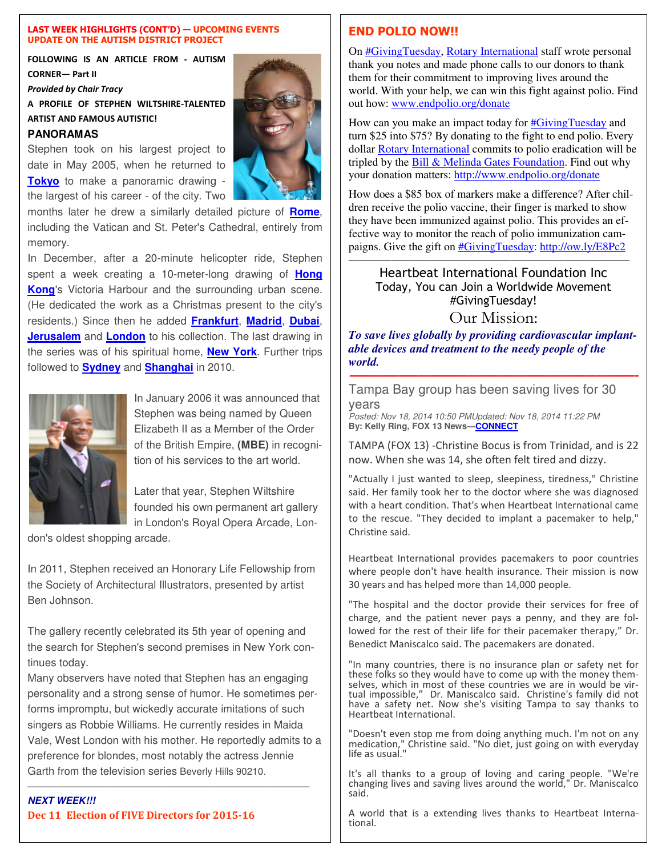#### **LAST WEEK HIGHLIGHTS (CONT'D) — UPCOMING EVENTS UPDATE ON THE AUTISM DISTRICT PROJECT**

**FOLLOWING IS AN ARTICLE FROM - AUTISM CORNER— Part II** 

*Provided by Chair Tracy* 

**A PROFILE OF STEPHEN WILTSHIRE-TALENTED ARTIST AND FAMOUS AUTISTIC!** 

#### **PANORAMAS**

Stephen took on his largest project to date in May 2005, when he returned to **Tokyo** to make a panoramic drawing the largest of his career - of the city. Two

months later he drew a similarly detailed picture of **Rome**, including the Vatican and St. Peter's Cathedral, entirely from memory.

In December, after a 20-minute helicopter ride, Stephen spent a week creating a 10-meter-long drawing of **Hong Kong**'s Victoria Harbour and the surrounding urban scene. (He dedicated the work as a Christmas present to the city's residents.) Since then he added **Frankfurt**, **Madrid**, **Dubai**, **Jerusalem** and **London** to his collection. The last drawing in the series was of his spiritual home, **New York**. Further trips followed to **Sydney** and **Shanghai** in 2010.



In January 2006 it was announced that Stephen was being named by Queen Elizabeth II as a Member of the Order of the British Empire, **(MBE)** in recognition of his services to the art world.

Later that year, Stephen Wiltshire founded his own permanent art gallery in London's Royal Opera Arcade, Lon-

don's oldest shopping arcade.

In 2011, Stephen received an Honorary Life Fellowship from the Society of Architectural Illustrators, presented by artist Ben Johnson.

The gallery recently celebrated its 5th year of opening and the search for Stephen's second premises in New York continues today.

Many observers have noted that Stephen has an engaging personality and a strong sense of humor. He sometimes performs impromptu, but wickedly accurate imitations of such singers as Robbie Williams. He currently resides in Maida Vale, West London with his mother. He reportedly admits to a preference for blondes, most notably the actress Jennie Garth from the television series Beverly Hills 90210.

 $\overline{\phantom{a}}$  , and the contract of the contract of the contract of the contract of the contract of the contract of the contract of the contract of the contract of the contract of the contract of the contract of the contrac

#### **NEXT WEEK!!! Dec 11 Election of FIVE Directors for 2015-16**



#### **END POLIO NOW!!**

On #GivingTuesday, Rotary International staff wrote personal thank you notes and made phone calls to our donors to thank them for their commitment to improving lives around the world. With your help, we can win this fight against polio. Find out how: www.endpolio.org/donate

How can you make an impact today for #GivingTuesday and turn \$25 into \$75? By donating to the fight to end polio. Every dollar Rotary International commits to polio eradication will be tripled by the Bill & Melinda Gates Foundation. Find out why your donation matters: http://www.endpolio.org/donate

How does a \$85 box of markers make a difference? After children receive the polio vaccine, their finger is marked to show they have been immunized against polio. This provides an effective way to monitor the reach of polio immunization campaigns. Give the gift on #GivingTuesday: http://ow.ly/E8Pc2

#### —————————————————————————— Heartbeat International Foundation Inc Today, You can Join a Worldwide Movement #GivingTuesday! Our Mission:

*To save lives globally by providing cardiovascular implantable devices and treatment to the needy people of the world.*

**—————————————————————————————-** 

Tampa Bay group has been saving lives for 30 years

Posted: Nov 18, 2014 10:50 PMUpdated: Nov 18, 2014 11:22 PM **By: Kelly Ring, FOX 13 News—CONNECT**

TAMPA (FOX 13) -Christine Bocus is from Trinidad, and is 22 now. When she was 14, she often felt tired and dizzy.

"Actually I just wanted to sleep, sleepiness, tiredness," Christine said. Her family took her to the doctor where she was diagnosed with a heart condition. That's when Heartbeat International came to the rescue. "They decided to implant a pacemaker to help," Christine said.

Heartbeat International provides pacemakers to poor countries where people don't have health insurance. Their mission is now 30 years and has helped more than 14,000 people.

"The hospital and the doctor provide their services for free of charge, and the patient never pays a penny, and they are followed for the rest of their life for their pacemaker therapy," Dr. Benedict Maniscalco said. The pacemakers are donated.

"In many countries, there is no insurance plan or safety net for these folks so they would have to come up with the money themselves, which in most of these countries we are in would be virtual impossible," Dr. Maniscalco said. Christine's family did not have a safety net. Now she's visiting Tampa to say thanks to Heartbeat International.

"Doesn't even stop me from doing anything much. I'm not on any medication," Christine said. "No diet, just going on with everyday life as usual."

It's all thanks to a group of loving and caring people. "We're changing lives and saving lives around the world," Dr. Maniscalco said.

A world that is a extending lives thanks to Heartbeat International.